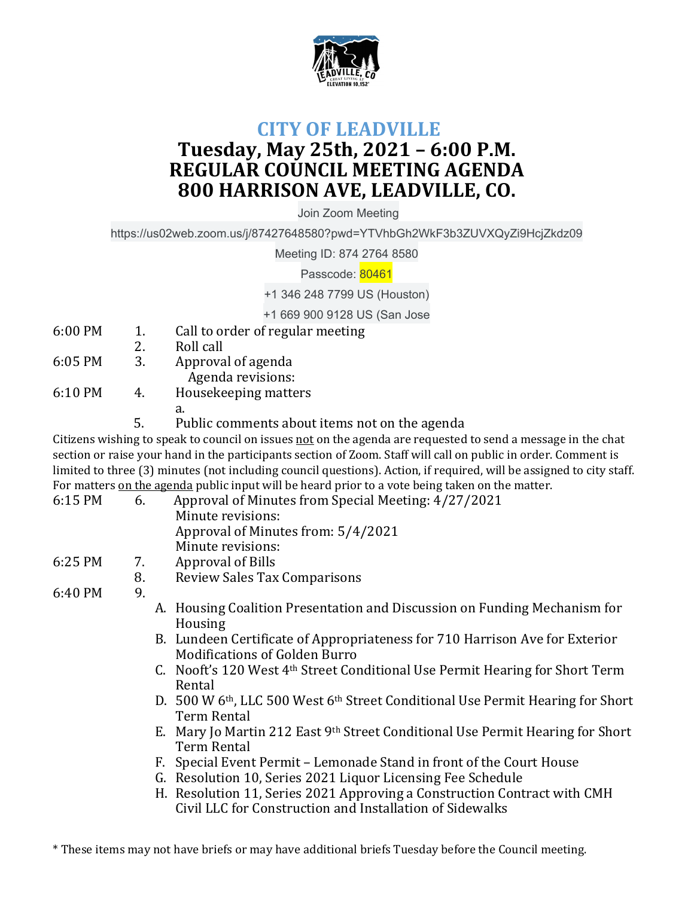

## **CITY OF LEADVILLE Tuesday, May 25th, 2021 – 6:00 P.M. REGULAR COUNCIL MEETING AGENDA 800 HARRISON AVE, LEADVILLE, CO.**

Join Zoom Meeting

https://us02web.zoom.us/j/87427648580?pwd=YTVhbGh2WkF3b3ZUVXQyZi9HcjZkdz09

Meeting ID: 874 2764 8580

Passcode: 80461

+1 346 248 7799 US (Houston)

+1 669 900 9128 US (San Jose

- 6:00 PM 1. Call to order of regular meeting
- 2. Roll call
- 6:05 PM 3. Approval of agenda Agenda revisions:
- 6:10 PM 4. Housekeeping matters
- a.
	- 5. Public comments about items not on the agenda

Citizens wishing to speak to council on issues not on the agenda are requested to send a message in the chat section or raise your hand in the participants section of Zoom. Staff will call on public in order. Comment is limited to three (3) minutes (not including council questions). Action, if required, will be assigned to city staff. For matters on the agenda public input will be heard prior to a vote being taken on the matter.

| 6:15 PM | 6. | Approval of Minutes from Special Meeting: 4/27/2021                                                     |
|---------|----|---------------------------------------------------------------------------------------------------------|
|         |    | Minute revisions:                                                                                       |
|         |    | Approval of Minutes from: 5/4/2021                                                                      |
|         |    | Minute revisions:                                                                                       |
| 6:25 PM | 7. | <b>Approval of Bills</b>                                                                                |
|         | 8. | <b>Review Sales Tax Comparisons</b>                                                                     |
| 6:40 PM | 9. |                                                                                                         |
|         |    | A. Housing Coalition Presentation and Discussion on Funding Mechanism for                               |
|         |    | Housing                                                                                                 |
|         |    | B. Lundeen Certificate of Appropriateness for 710 Harrison Ave for Exterior                             |
|         |    | <b>Modifications of Golden Burro</b>                                                                    |
|         |    | C. Nooft's 120 West 4 <sup>th</sup> Street Conditional Use Permit Hearing for Short Term                |
|         |    | Rental                                                                                                  |
|         |    | D. 500 W 6 <sup>th</sup> , LLC 500 West 6 <sup>th</sup> Street Conditional Use Permit Hearing for Short |
|         |    | <b>Term Rental</b>                                                                                      |
|         |    | E. Mary Jo Martin 212 East 9th Street Conditional Use Permit Hearing for Short                          |
|         |    | <b>Term Rental</b>                                                                                      |
|         |    | F. Special Event Permit – Lemonade Stand in front of the Court House                                    |
|         |    | G. Resolution 10, Series 2021 Liquor Licensing Fee Schedule                                             |
|         |    | H. Resolution 11, Series 2021 Approving a Construction Contract with CMH                                |
|         |    | Civil LLC for Construction and Installation of Sidewalks                                                |

\* These items may not have briefs or may have additional briefs Tuesday before the Council meeting.